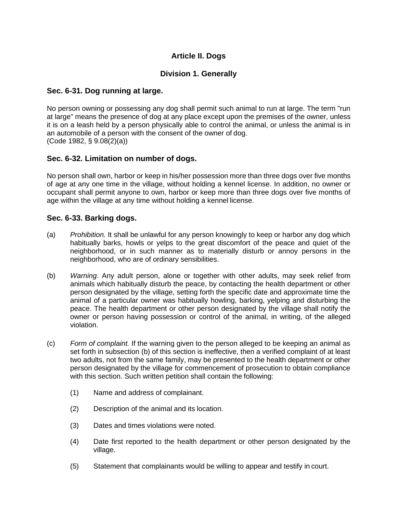# **Article II. Dogs**

## **Division 1. Generally**

## **Sec. 6-31. Dog running at large.**

No person owning or possessing any dog shall permit such animal to run at large. The term "run at large" means the presence of dog at any place except upon the premises of the owner, unless it is on a leash held by a person physically able to control the animal, or unless the animal is in an automobile of a person with the consent of the owner of dog. (Code 1982, § 9.08(2)(a))

## **Sec. 6-32. Limitation on number of dogs.**

No person shall own, harbor or keep in his/her possession more than three dogs over five months of age at any one time in the village, without holding a kennel license. In addition, no owner or occupant shall permit anyone to own, harbor or keep more than three dogs over five months of age within the village at any time without holding a kennel license.

#### **Sec. 6-33. Barking dogs.**

- (a) *Prohibition.* It shall be unlawful for any person knowingly to keep or harbor any dog which habitually barks, howls or yelps to the great discomfort of the peace and quiet of the neighborhood, or in such manner as to materially disturb or annoy persons in the neighborhood, who are of ordinary sensibilities.
- (b) *Warning.* Any adult person, alone or together with other adults, may seek relief from animals which habitually disturb the peace, by contacting the health department or other person designated by the village, setting forth the specific date and approximate time the animal of a particular owner was habitually howling, barking, yelping and disturbing the peace. The health department or other person designated by the village shall notify the owner or person having possession or control of the animal, in writing, of the alleged violation.
- (c) *Form of complaint.* If the warning given to the person alleged to be keeping an animal as set forth in subsection (b) of this section is ineffective, then a verified complaint of at least two adults, not from the same family, may be presented to the health department or other person designated by the village for commencement of prosecution to obtain compliance with this section. Such written petition shall contain the following:
	- (1) Name and address of complainant.
	- (2) Description of the animal and its location.
	- (3) Dates and times violations were noted.
	- (4) Date first reported to the health department or other person designated by the village.
	- (5) Statement that complainants would be willing to appear and testify in court.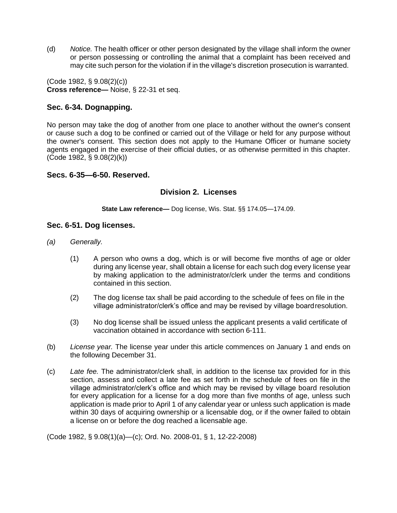(d) *Notice.* The health officer or other person designated by the village shall inform the owner or person possessing or controlling the animal that a complaint has been received and may cite such person for the violation if in the village's discretion prosecution is warranted.

(Code 1982, § 9.08(2)(c)) **Cross reference—** Noise, § 22-31 et seq.

## **Sec. 6-34. Dognapping.**

No person may take the dog of another from one place to another without the owner's consent or cause such a dog to be confined or carried out of the Village or held for any purpose without the owner's consent. This section does not apply to the Humane Officer or humane society agents engaged in the exercise of their official duties, or as otherwise permitted in this chapter. (Code 1982, § 9.08(2)(k))

#### **Secs. 6-35—6-50. Reserved.**

## **Division 2. Licenses**

**State Law reference—** Dog license, Wis. Stat. §§ 174.05—174.09.

#### **Sec. 6-51. Dog licenses.**

- *(a) Generally.*
	- (1) A person who owns a dog, which is or will become five months of age or older during any license year, shall obtain a license for each such dog every license year by making application to the administrator/clerk under the terms and conditions contained in this section.
	- (2) The dog license tax shall be paid according to the schedule of fees on file in the village administrator/clerk's office and may be revised by village boardresolution.
	- (3) No dog license shall be issued unless the applicant presents a valid certificate of vaccination obtained in accordance with section 6-111.
- (b) *License year.* The license year under this article commences on January 1 and ends on the following December 31.
- (c) *Late fee.* The administrator/clerk shall, in addition to the license tax provided for in this section, assess and collect a late fee as set forth in the schedule of fees on file in the village administrator/clerk's office and which may be revised by village board resolution for every application for a license for a dog more than five months of age, unless such application is made prior to April 1 of any calendar year or unless such application is made within 30 days of acquiring ownership or a licensable dog, or if the owner failed to obtain a license on or before the dog reached a licensable age.

(Code 1982, § 9.08(1)(a)—(c); Ord. No. 2008-01, § 1, 12-22-2008)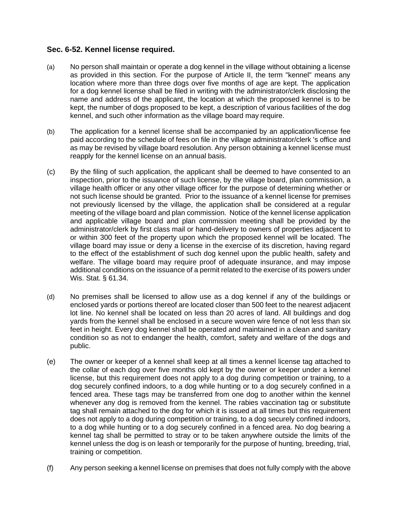## **Sec. 6-52. Kennel license required.**

- (a) No person shall maintain or operate a dog kennel in the village without obtaining a license as provided in this section. For the purpose of Article II, the term "kennel" means any location where more than three dogs over five months of age are kept. The application for a dog kennel license shall be filed in writing with the administrator/clerk disclosing the name and address of the applicant, the location at which the proposed kennel is to be kept, the number of dogs proposed to be kept, a description of various facilities of the dog kennel, and such other information as the village board may require.
- (b) The application for a kennel license shall be accompanied by an application/license fee paid according to the schedule of fees on file in the village administrator/clerk 's office and as may be revised by village board resolution. Any person obtaining a kennel license must reapply for the kennel license on an annual basis.
- (c) By the filing of such application, the applicant shall be deemed to have consented to an inspection, prior to the issuance of such license, by the village board, plan commission, a village health officer or any other village officer for the purpose of determining whether or not such license should be granted. Prior to the issuance of a kennel license for premises not previously licensed by the village, the application shall be considered at a regular meeting of the village board and plan commission. Notice of the kennel license application and applicable village board and plan commission meeting shall be provided by the administrator/clerk by first class mail or hand-delivery to owners of properties adjacent to or within 300 feet of the property upon which the proposed kennel will be located. The village board may issue or deny a license in the exercise of its discretion, having regard to the effect of the establishment of such dog kennel upon the public health, safety and welfare. The village board may require proof of adequate insurance, and may impose additional conditions on the issuance of a permit related to the exercise of its powers under Wis. Stat. § 61.34.
- (d) No premises shall be licensed to allow use as a dog kennel if any of the buildings or enclosed yards or portions thereof are located closer than 500 feet to the nearest adjacent lot line. No kennel shall be located on less than 20 acres of land. All buildings and dog yards from the kennel shall be enclosed in a secure woven wire fence of not less than six feet in height. Every dog kennel shall be operated and maintained in a clean and sanitary condition so as not to endanger the health, comfort, safety and welfare of the dogs and public.
- (e) The owner or keeper of a kennel shall keep at all times a kennel license tag attached to the collar of each dog over five months old kept by the owner or keeper under a kennel license, but this requirement does not apply to a dog during competition or training, to a dog securely confined indoors, to a dog while hunting or to a dog securely confined in a fenced area. These tags may be transferred from one dog to another within the kennel whenever any dog is removed from the kennel. The rabies vaccination tag or substitute tag shall remain attached to the dog for which it is issued at all times but this requirement does not apply to a dog during competition or training, to a dog securely confined indoors, to a dog while hunting or to a dog securely confined in a fenced area. No dog bearing a kennel tag shall be permitted to stray or to be taken anywhere outside the limits of the kennel unless the dog is on leash or temporarily for the purpose of hunting, breeding, trial, training or competition.
- (f) Any person seeking a kennel license on premises that does not fully comply with the above